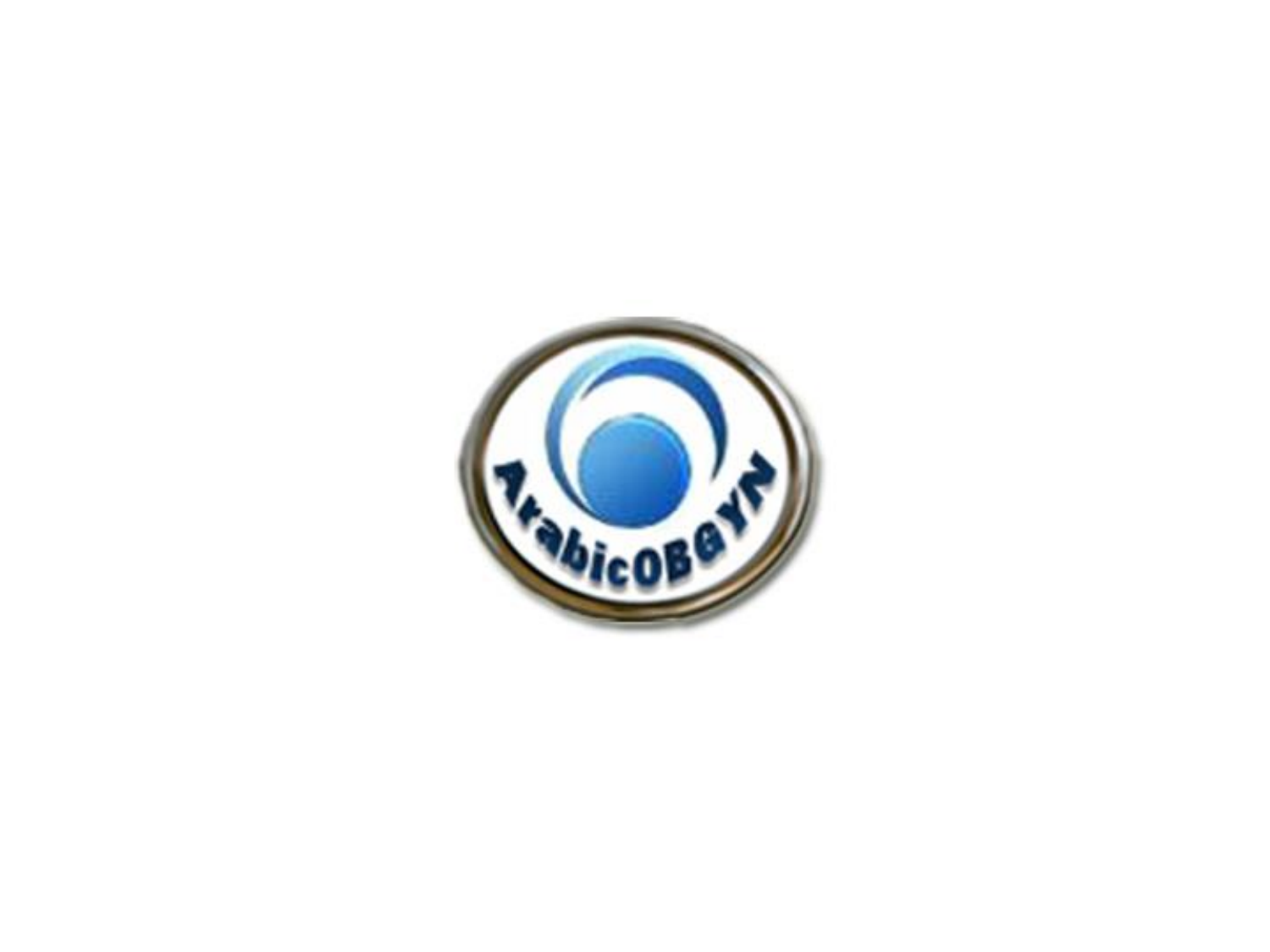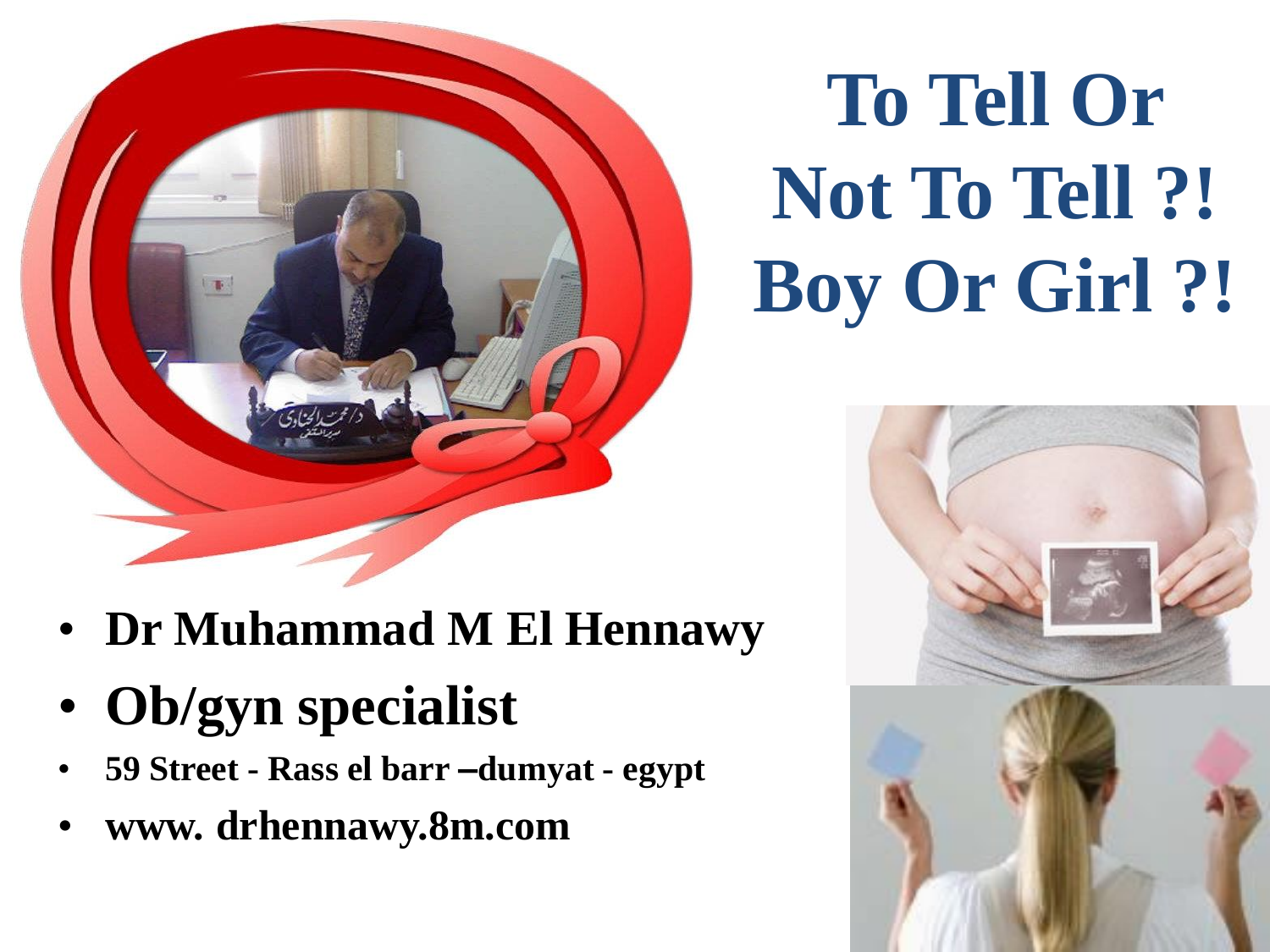

**To Tell Or Not To Tell ?! Boy Or Girl ?!**

- **Dr Muhammad M El Hennawy**
- **Ob/gyn specialist**
- **59 Street - Rass el barr –dumyat - egypt**
- **www. drhennawy.8m.com**

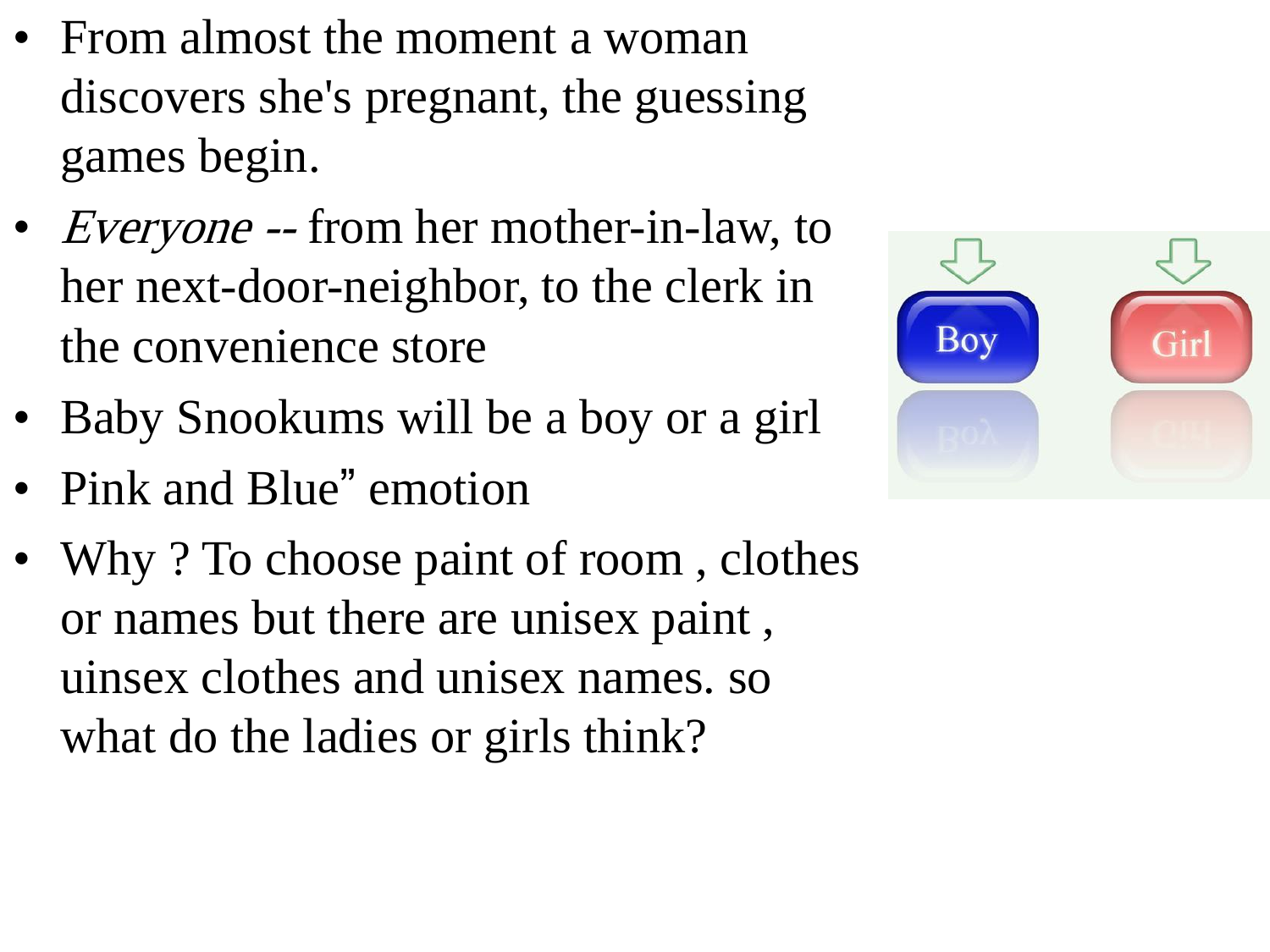- From almost the moment a woman discovers she's pregnant, the guessing games begin.
- *Everyone* -- from her mother-in-law, to her next-door-neighbor, to the clerk in the convenience store
- Baby Snookums will be a boy or a girl
- Pink and Blue" emotion
- Why ? To choose paint of room, clothes or names but there are unisex paint , uinsex clothes and unisex names. so what do the ladies or girls think?

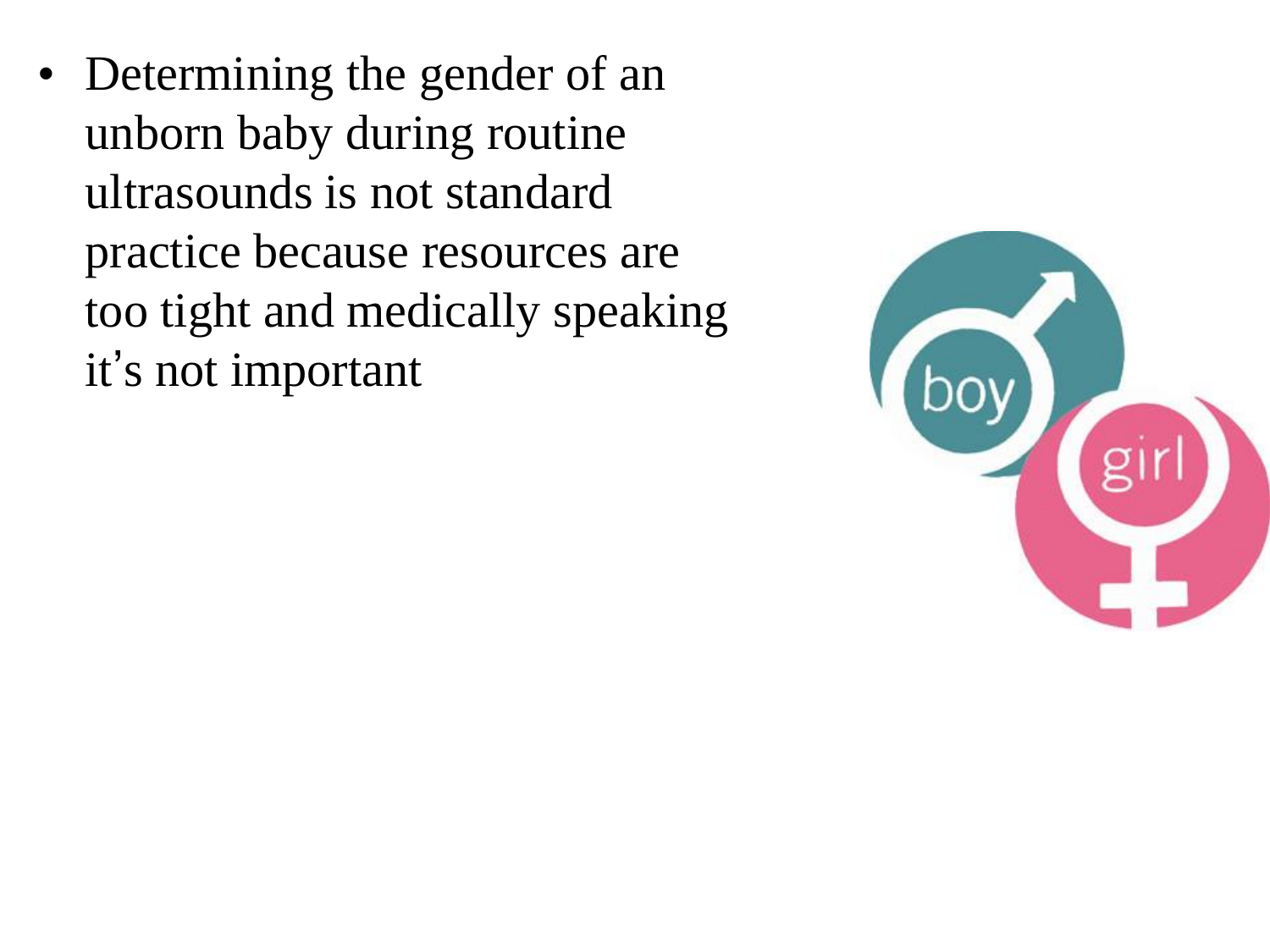• Determining the gender of an unborn baby during routine ultrasounds is not standard practice because resources are too tight and medically speaking it's not important

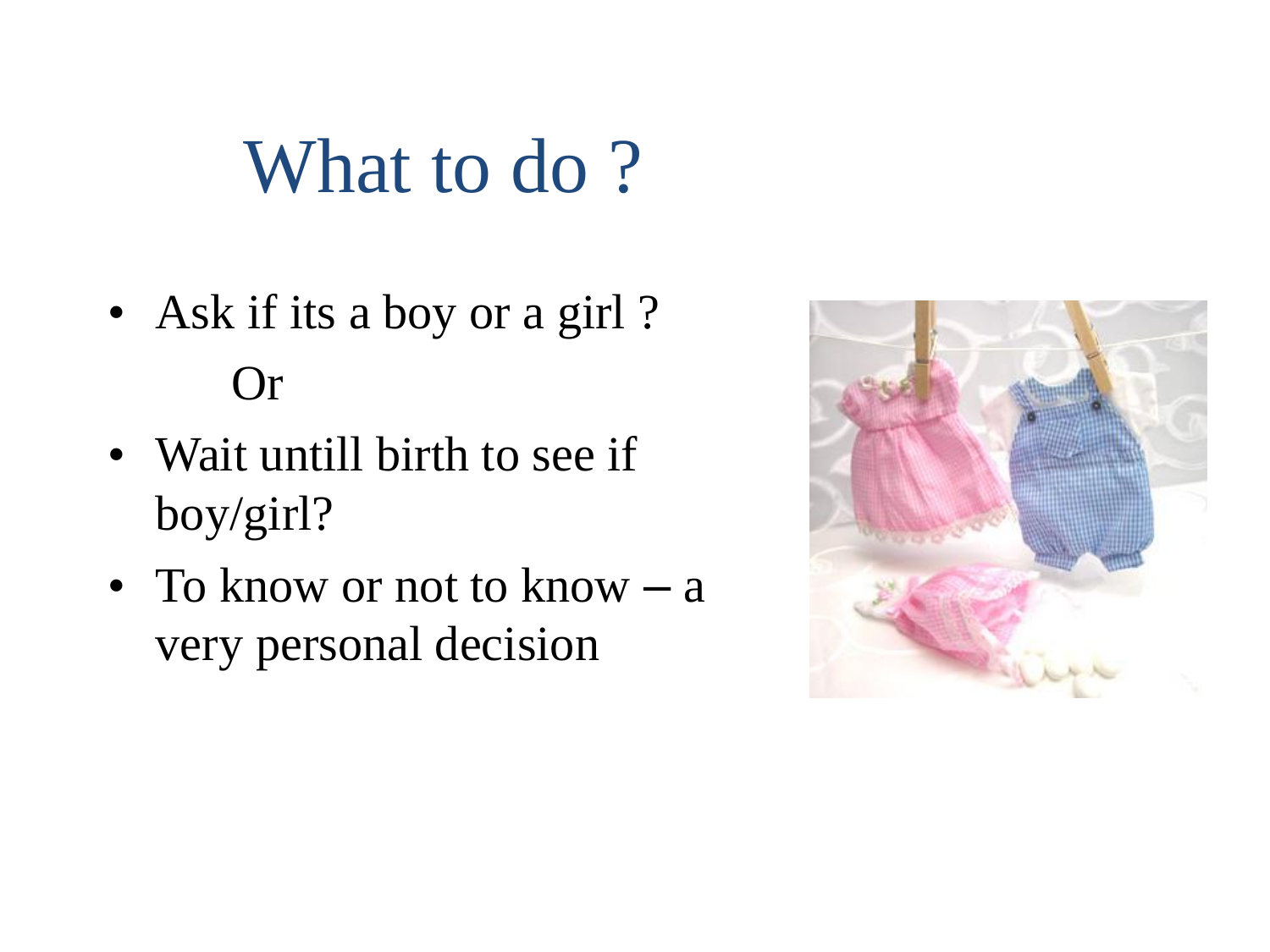#### What to do?

- Ask if its a boy or a girl? Or
- Wait untill birth to see if boy/girl?
- To know or not to know a very personal decision

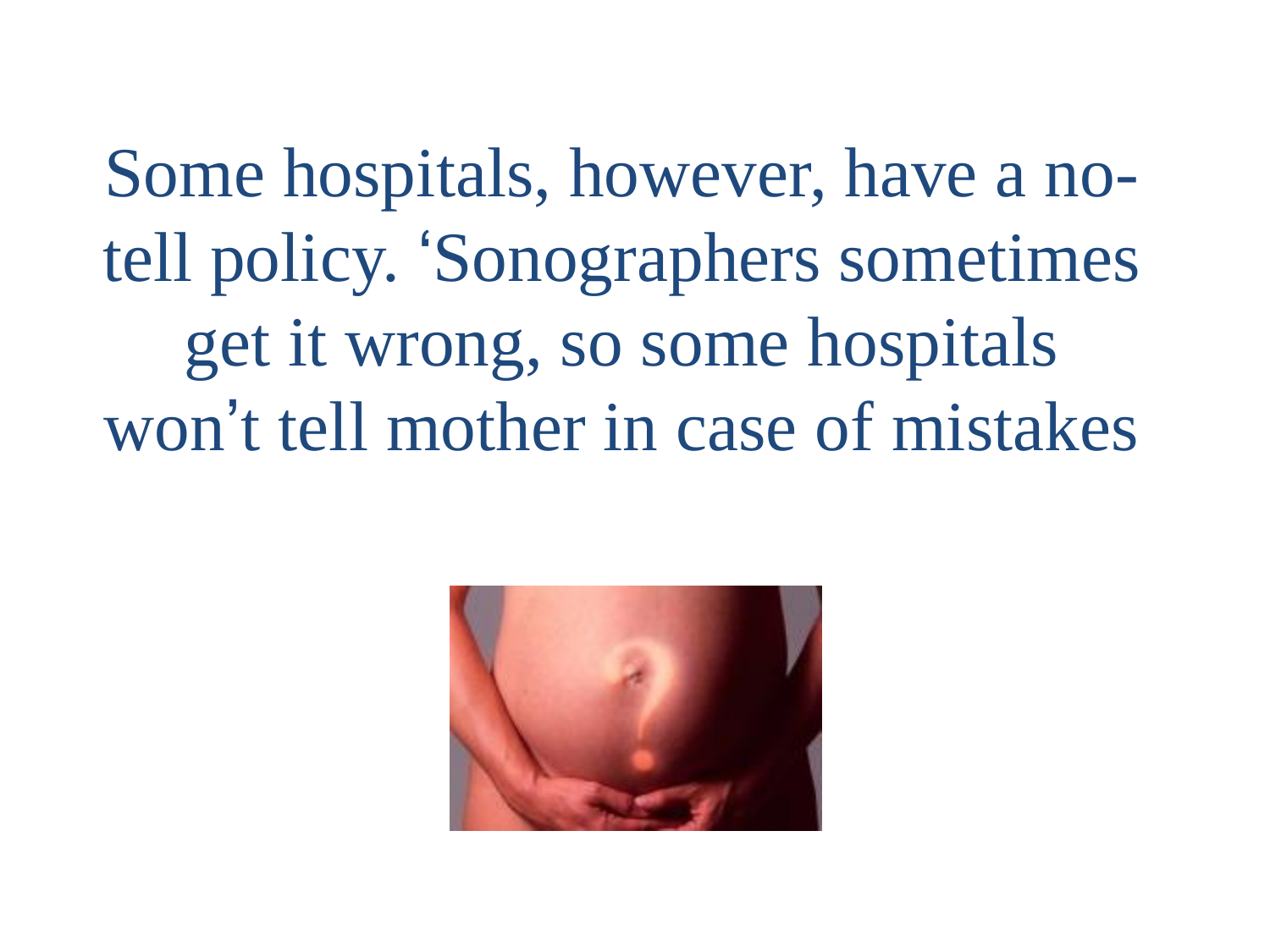Some hospitals, however, have a notell policy. 'Sonographers sometimes get it wrong, so some hospitals won 't tell mother in case of mistakes

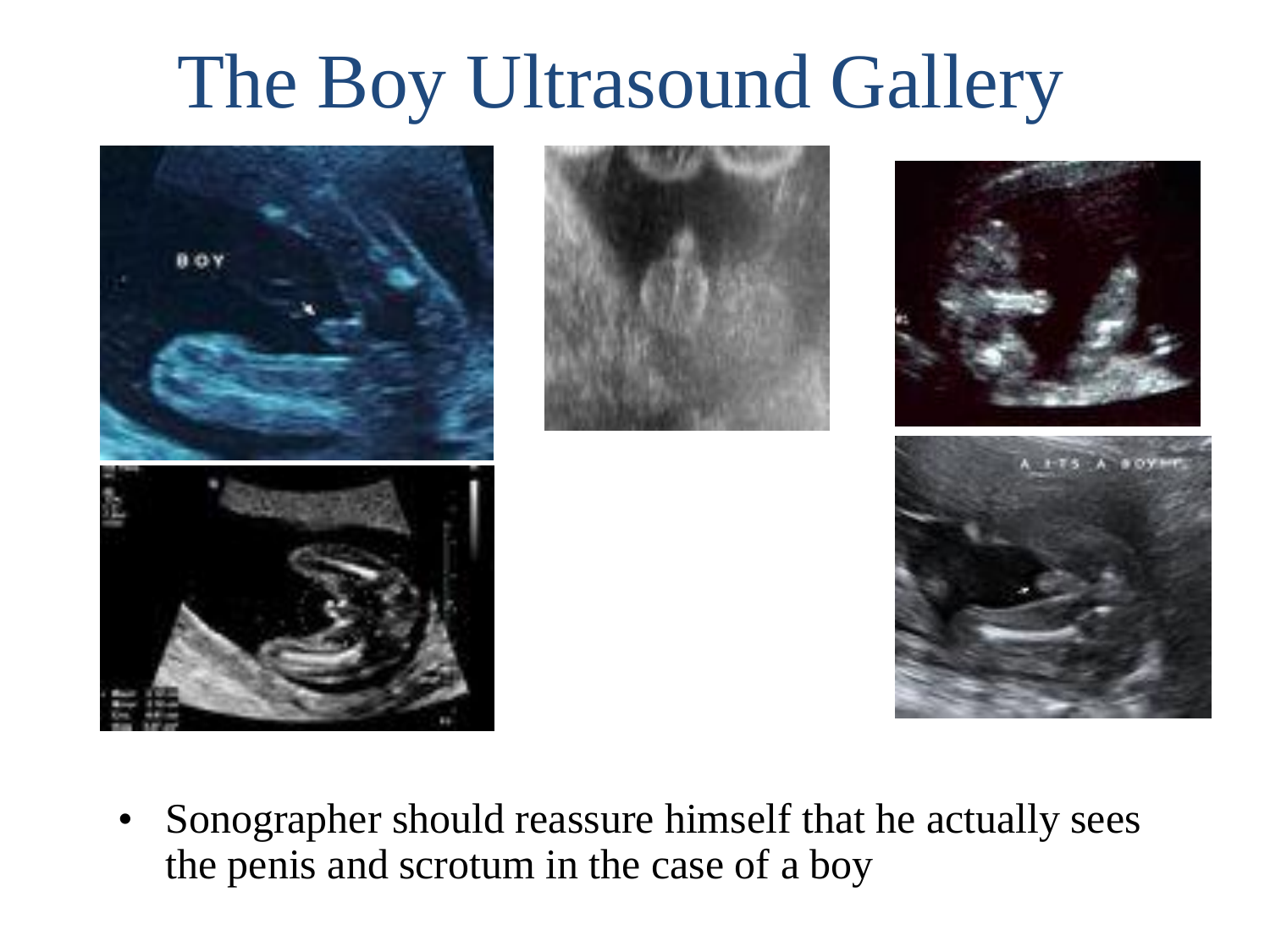## The Boy Ultrasound Gallery



• Sonographer should reassure himself that he actually sees the penis and scrotum in the case of a boy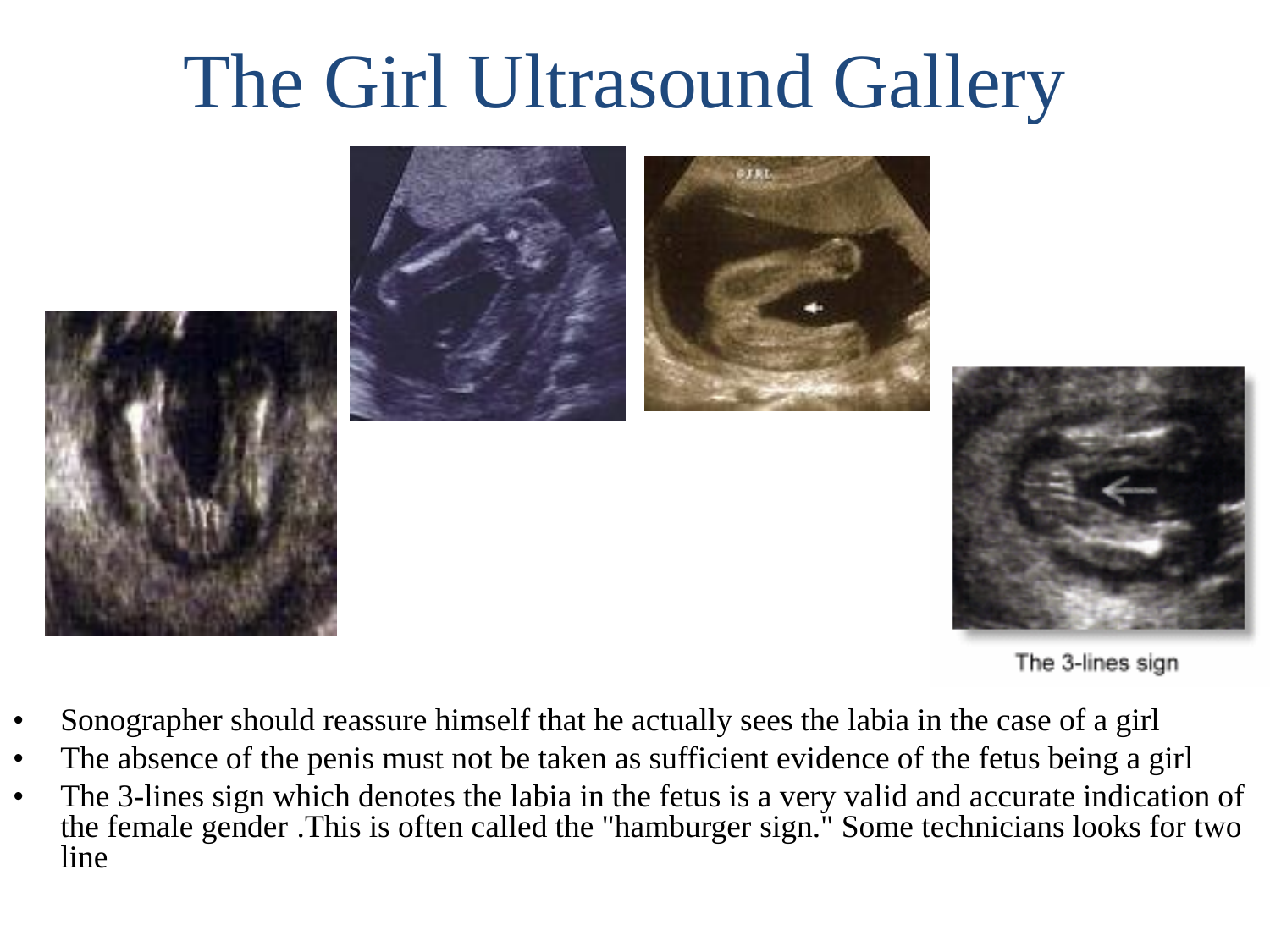# The Girl Ultrasound Gallery



The 3-lines sign

- Sonographer should reassure himself that he actually sees the labia in the case of a girl
- The absence of the penis must not be taken as sufficient evidence of the fetus being a girl
- The 3-lines sign which denotes the labia in the fetus is a very valid and accurate indication of the female gender .This is often called the "hamburger sign." Some technicians looks for two line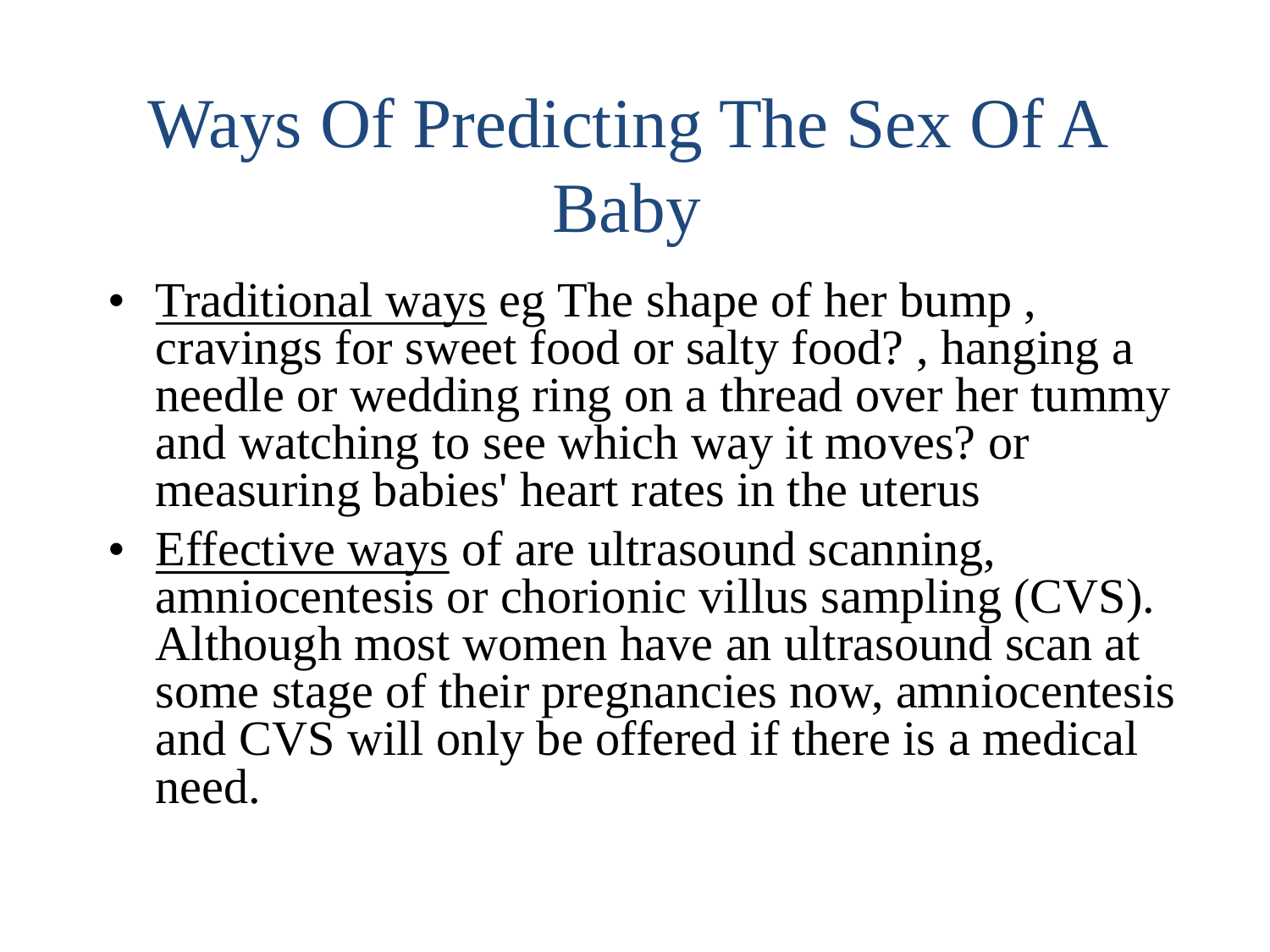## Ways Of Predicting The Sex Of A Baby

- Traditional ways eg The shape of her bump, cravings for sweet food or salty food? , hanging a needle or wedding ring on a thread over her tummy and watching to see which way it moves? or measuring babies' heart rates in the uterus
- Effective ways of are ultrasound scanning, amniocentesis or chorionic villus sampling (CVS). Although most women have an ultrasound scan at some stage of their pregnancies now, amniocentesis and CVS will only be offered if there is a medical need.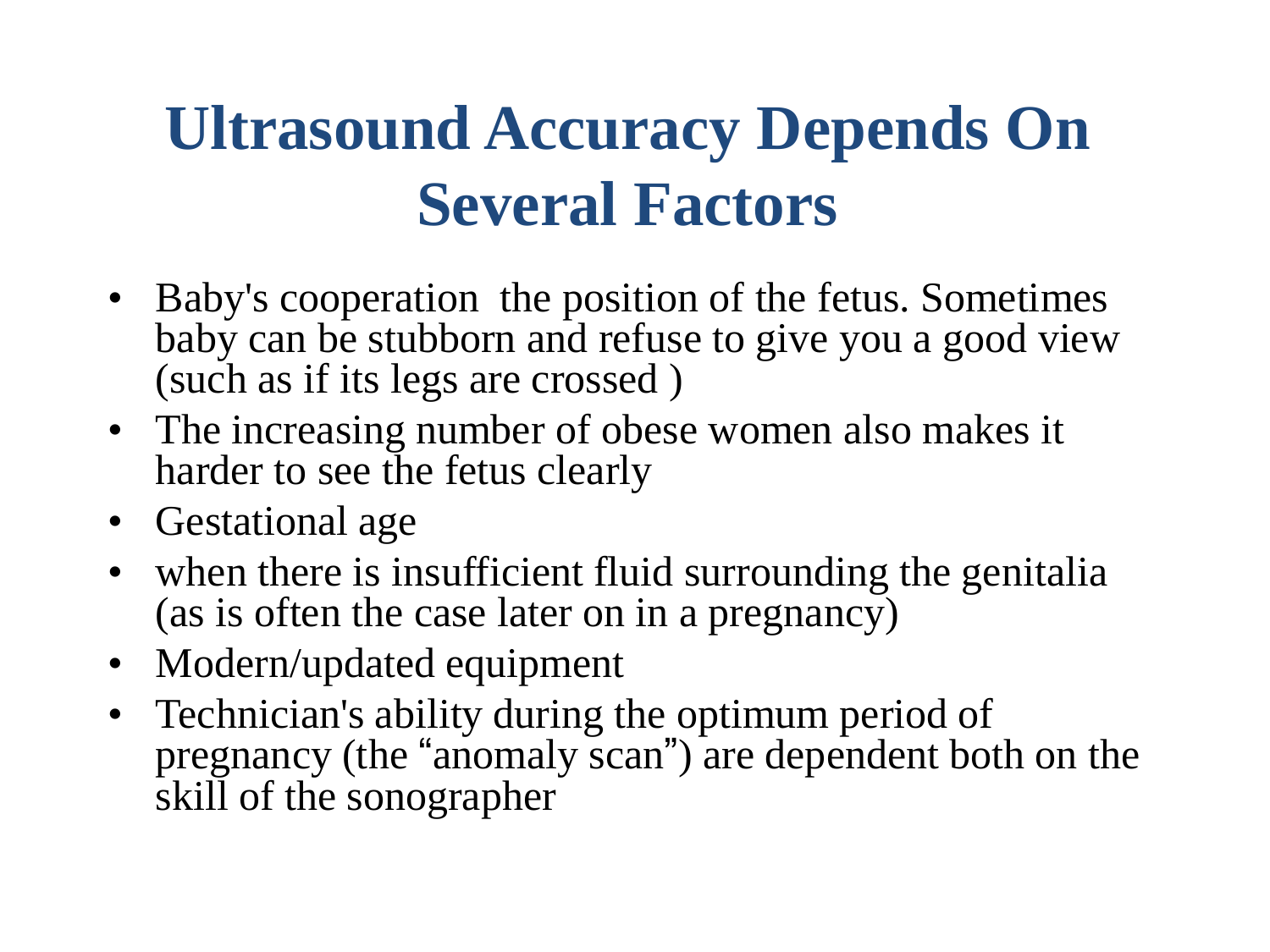#### **Ultrasound Accuracy Depends On Several Factors**

- Baby's cooperation the position of the fetus. Sometimes baby can be stubborn and refuse to give you a good view (such as if its legs are crossed )
- The increasing number of obese women also makes it harder to see the fetus clearly
- Gestational age
- when there is insufficient fluid surrounding the genitalia (as is often the case later on in a pregnancy)
- Modern/updated equipment
- Technician's ability during the optimum period of pregnancy (the "anomaly scan") are dependent both on the skill of the sonographer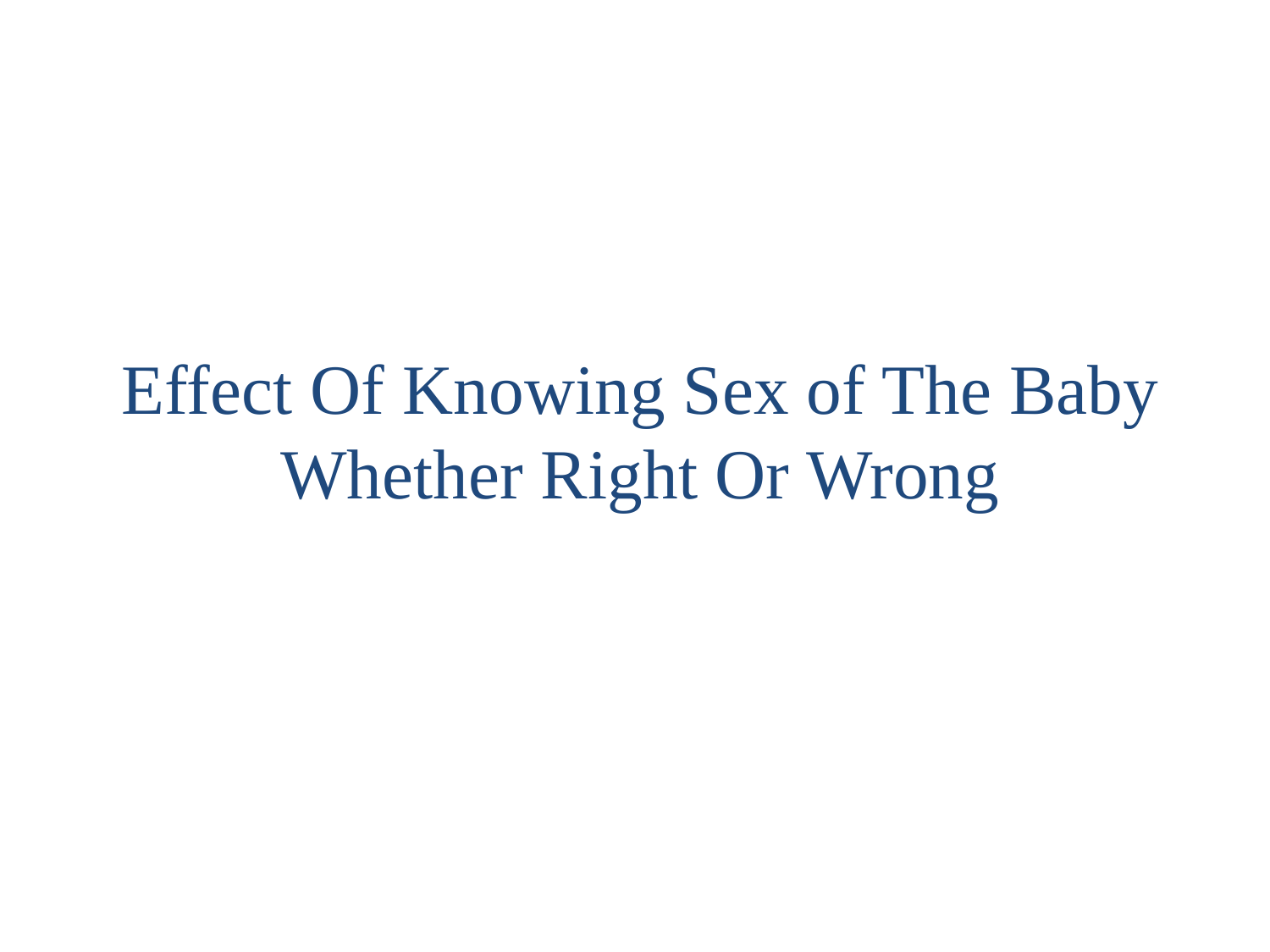Effect Of Knowing Sex of The Baby Whether Right Or Wrong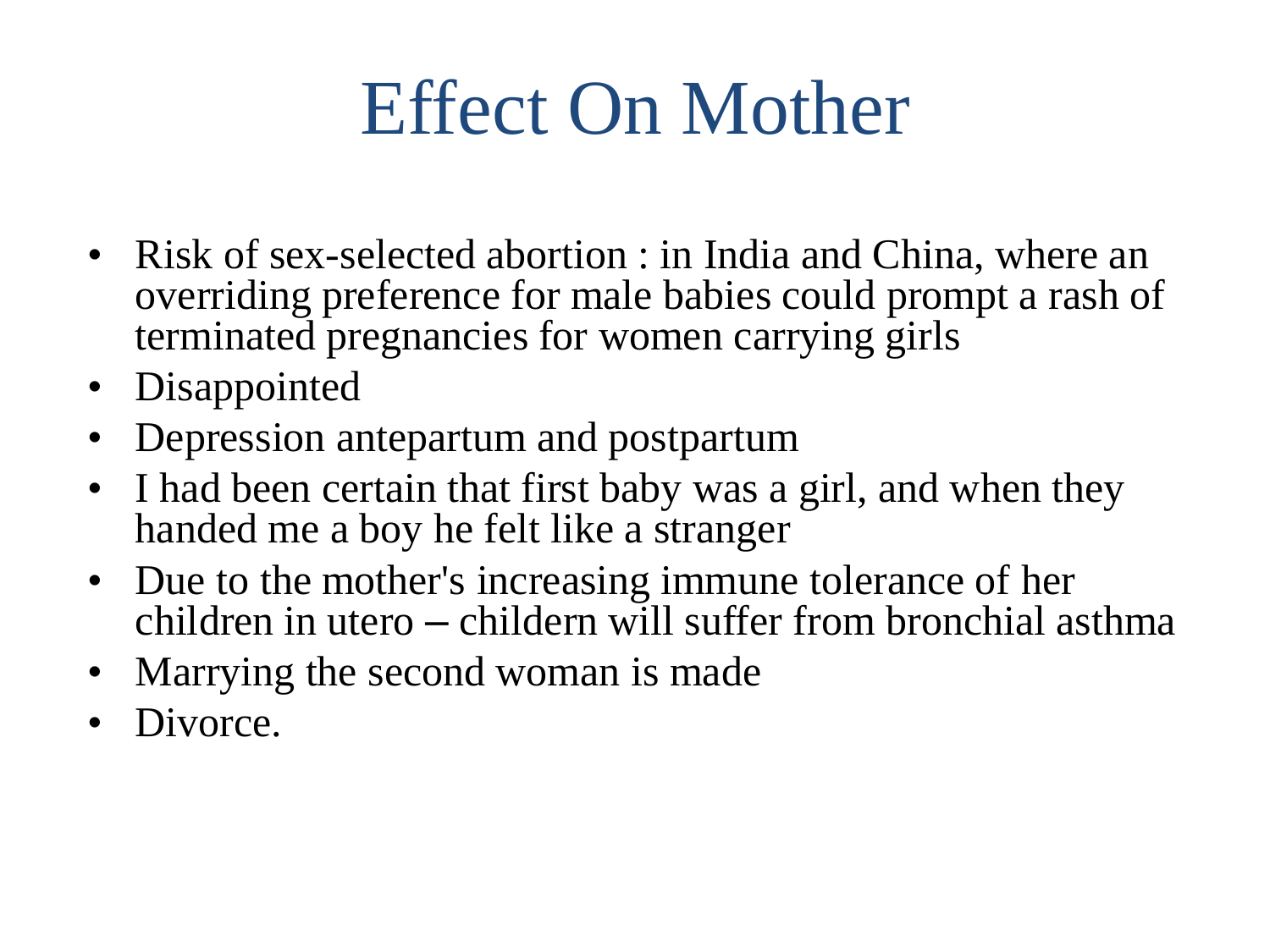## Effect On Mother

- Risk of sex-selected abortion : in India and China, where an overriding preference for male babies could prompt a rash of terminated pregnancies for women carrying girls
- Disappointed
- Depression antepartum and postpartum
- I had been certain that first baby was a girl, and when they handed me a boy he felt like a stranger
- Due to the mother's increasing immune tolerance of her children in utero – childern will suffer from bronchial asthma
- Marrying the second woman is made
- Divorce.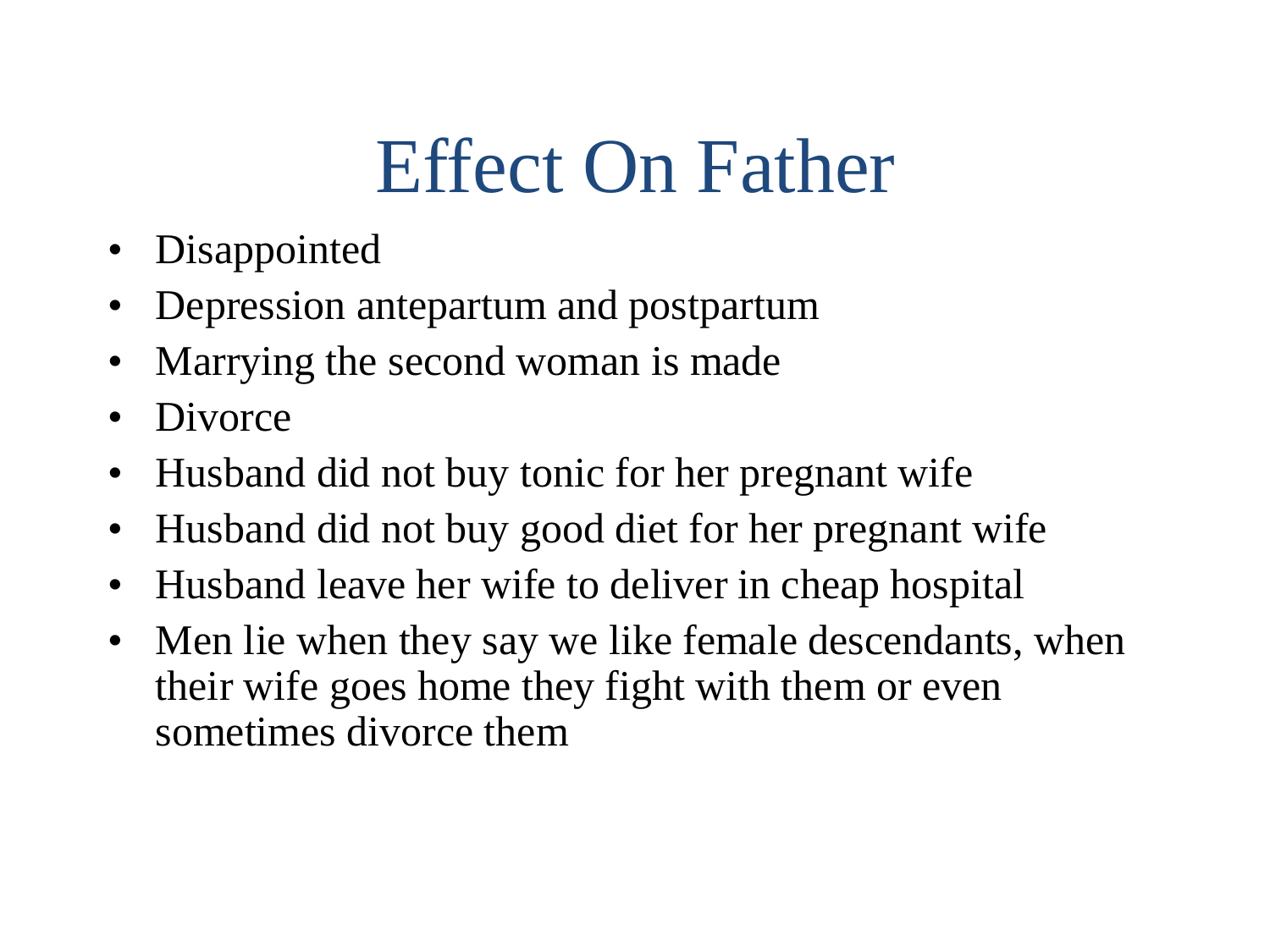## Effect On Father

- Disappointed
- Depression antepartum and postpartum
- Marrying the second woman is made.
- Divorce
- Husband did not buy tonic for her pregnant wife
- Husband did not buy good diet for her pregnant wife
- Husband leave her wife to deliver in cheap hospital
- Men lie when they say we like female descendants, when their wife goes home they fight with them or even sometimes divorce them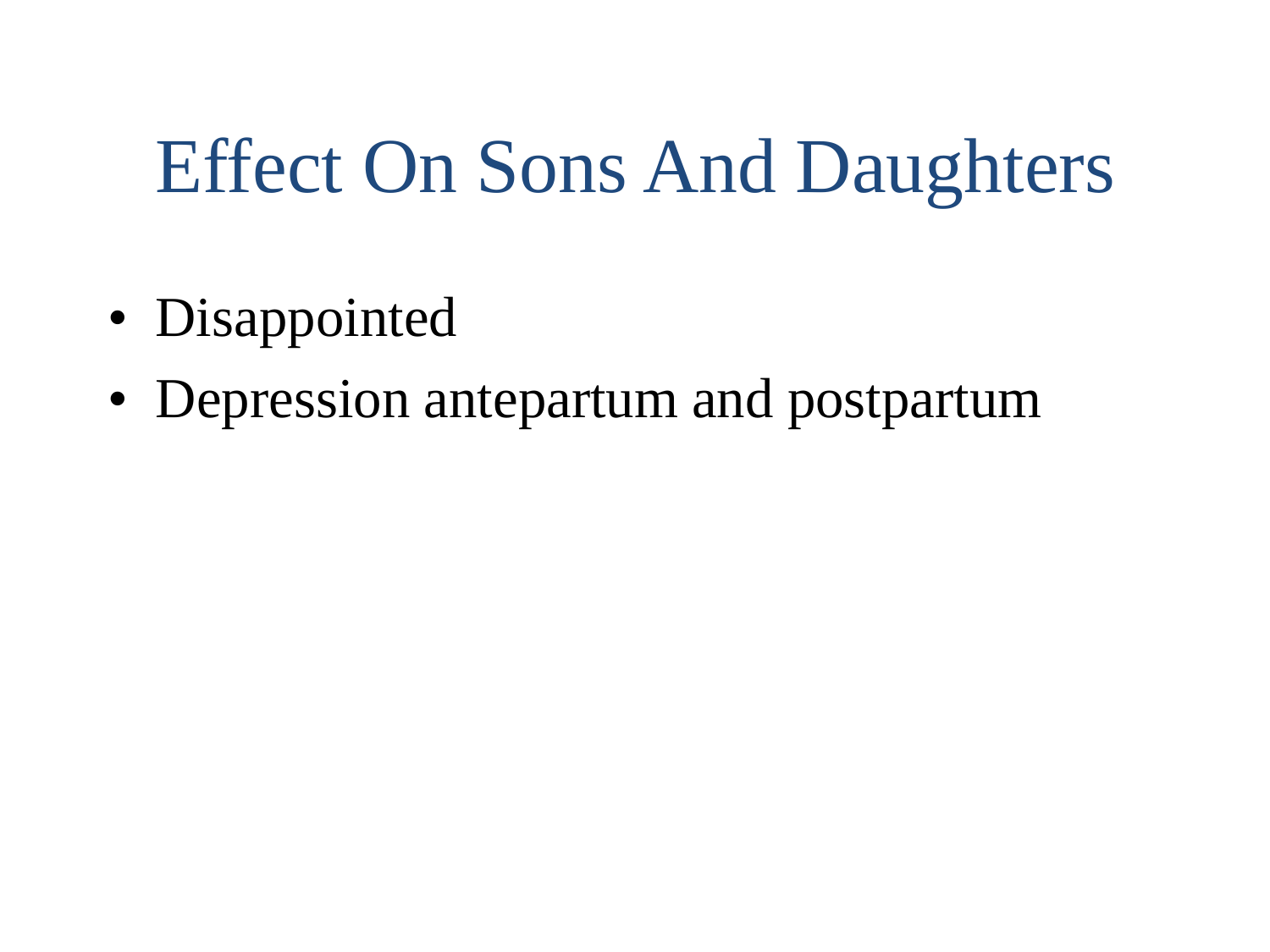## Effect On Sons And Daughters

- Disappointed
- Depression antepartum and postpartum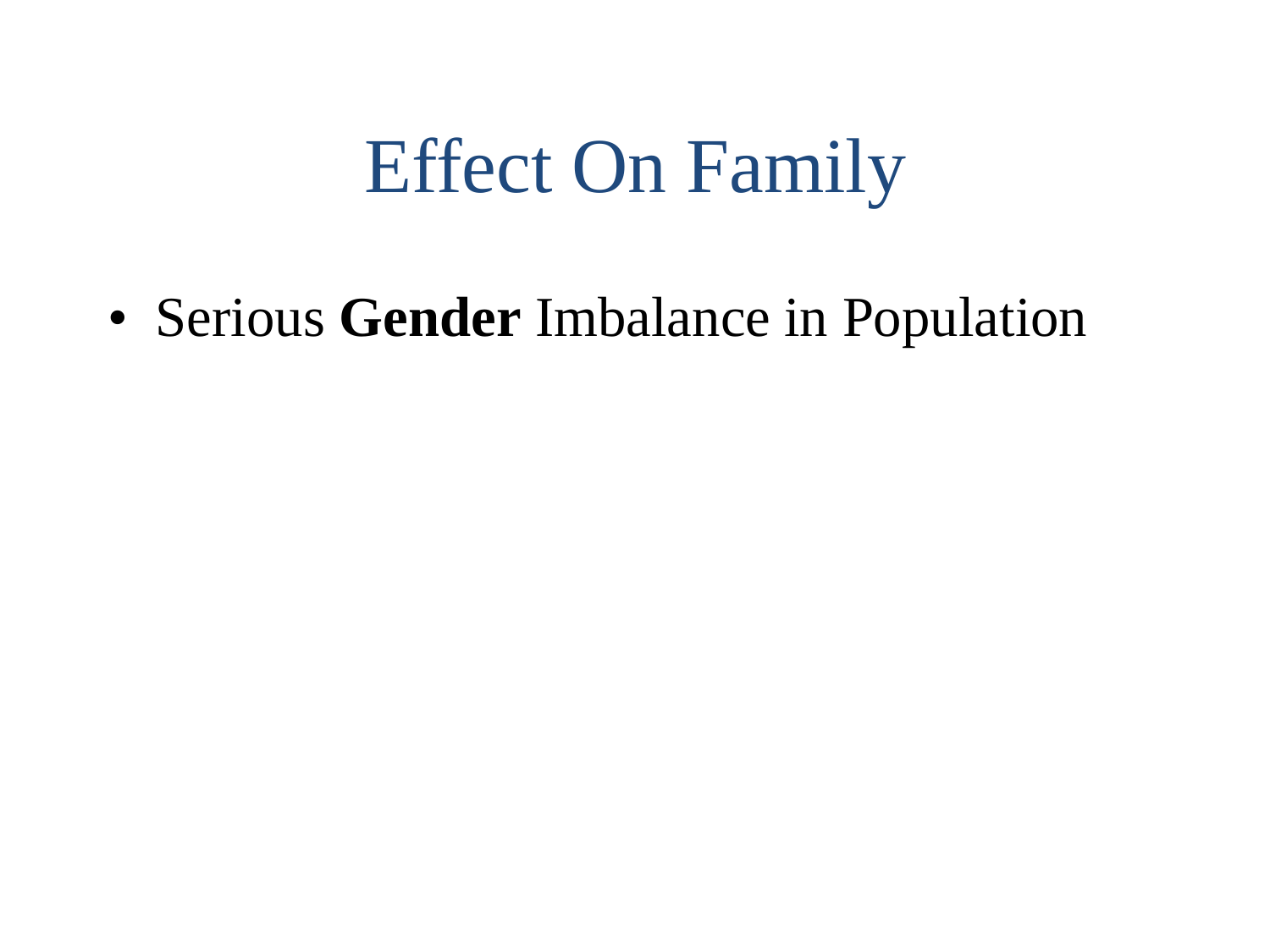### Effect On Family

• Serious **Gender** Imbalance in Population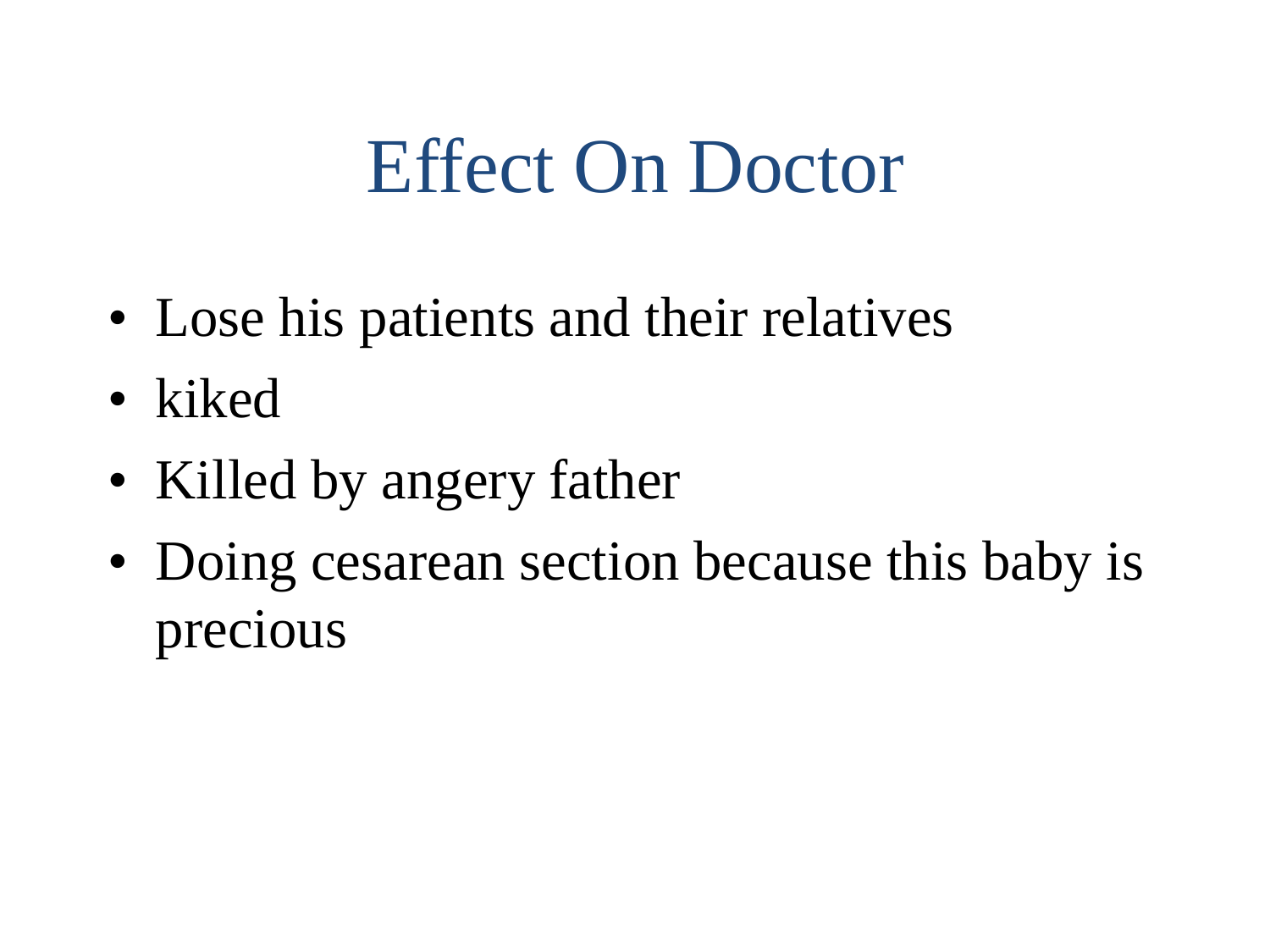#### Effect On Doctor

- Lose his patients and their relatives
- kiked
- Killed by angery father
- Doing cesarean section because this baby is precious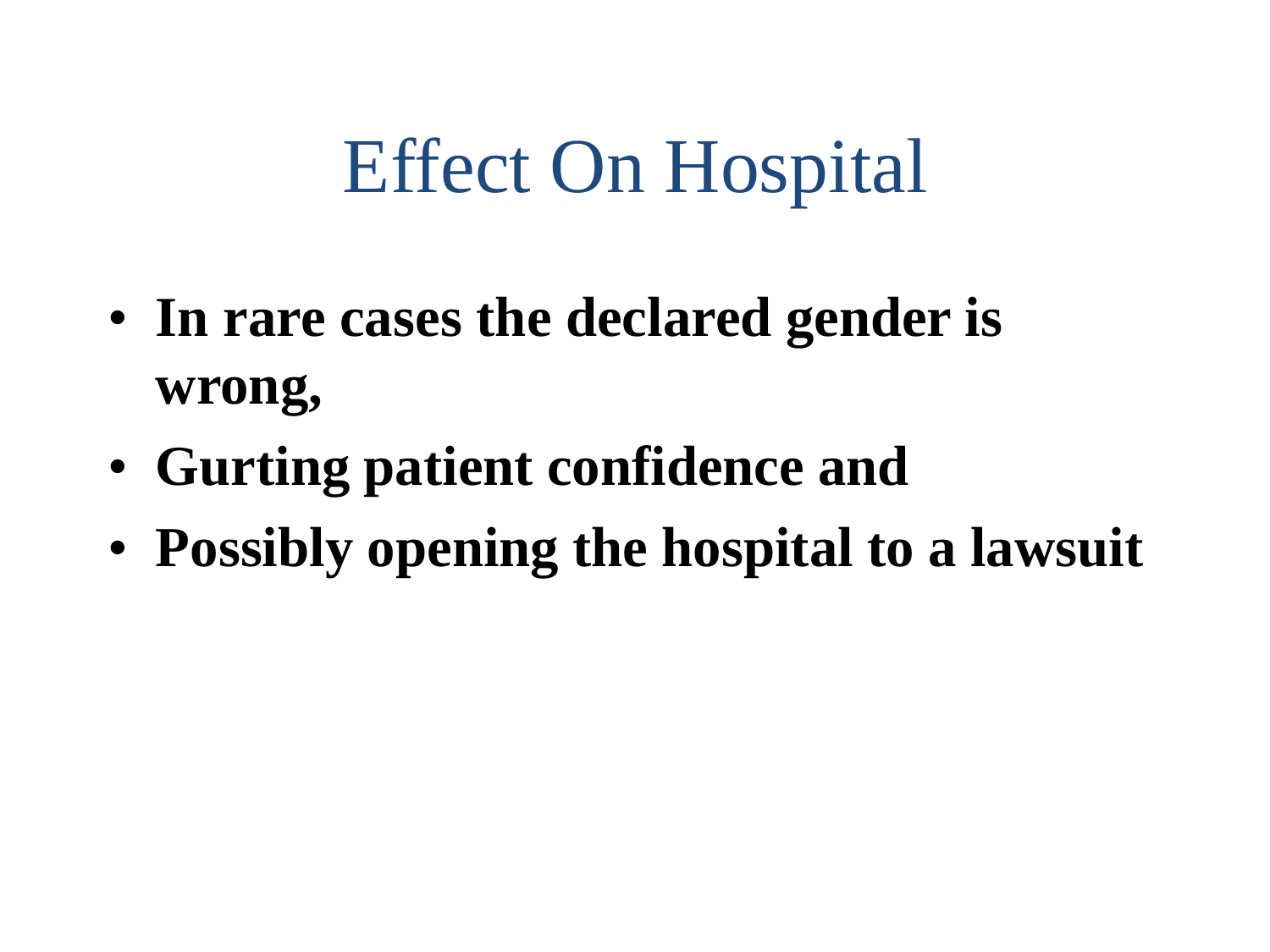### Effect On Hospital

- **In rare cases the declared gender is wrong,**
- **Gurting patient confidence and**
- **Possibly opening the hospital to a lawsuit**